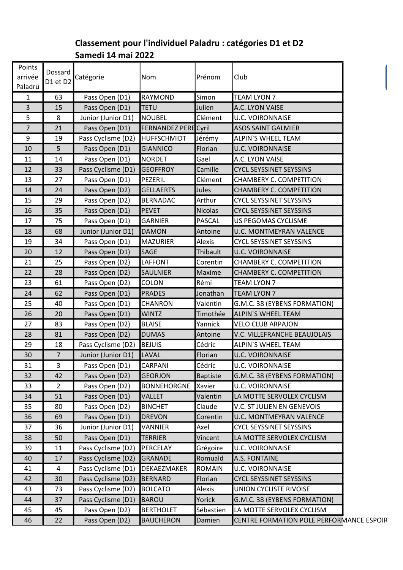## Classement pour l'individuel Paladru : catégories D1 et D2 Samedi 14 mai 2022

| Points<br>arrivée | Dossard<br>D1 et D2 | Catégorie          | Nom                         | Prénom          | Club                                     |  |
|-------------------|---------------------|--------------------|-----------------------------|-----------------|------------------------------------------|--|
| Paladru           |                     |                    |                             |                 |                                          |  |
| $\mathbf{1}$      | 63                  | Pass Open (D1)     | RAYMOND                     | Simon           | TEAM LYON 7                              |  |
| 3                 | 15                  | Pass Open (D1)     | <b>TETU</b>                 | Julien          | A.C. LYON VAISE                          |  |
| 5                 | 8                   | Junior (Junior D1) | <b>NOUBEL</b>               | Clément         | <b>U.C. VOIRONNAISE</b>                  |  |
| $\overline{7}$    | 21                  | Pass Open (D1)     | <b>FERNANDEZ PERE Cyril</b> |                 | <b>ASOS SAINT GALMIER</b>                |  |
| 9                 | 19                  | Pass Cyclisme (D2) | HUFFSCHMIDT                 | Jérémy          | <b>ALPIN'S WHEEL TEAM</b>                |  |
| 10                | 5                   | Pass Open (D1)     | <b>GIANNICO</b>             | Florian         | <b>U.C. VOIRONNAISE</b>                  |  |
| 11                | 14                  | Pass Open (D1)     | <b>NORDET</b>               | Gaël            | A.C. LYON VAISE                          |  |
| 12                | 33                  | Pass Cyclisme (D1) | <b>GEOFFROY</b>             | Camille         | <b>CYCL SEYSSINET SEYSSINS</b>           |  |
| 13                | 27                  | Pass Open (D1)     | PEZERIL                     | Clément         | CHAMBERY C. COMPETITION                  |  |
| 14                | 24                  | Pass Open (D2)     | <b>GELLAERTS</b>            | Jules           | CHAMBERY C. COMPETITION                  |  |
| 15                | 29                  | Pass Open (D2)     | <b>BERNADAC</b>             | Arthur          | <b>CYCL SEYSSINET SEYSSINS</b>           |  |
| 16                | 35                  | Pass Open (D1)     | <b>PEVET</b>                | Nicolas         | <b>CYCL SEYSSINET SEYSSINS</b>           |  |
| 17                | 75                  | Pass Open (D1)     | GARNIER                     | <b>PASCAL</b>   | US PEGOMAS CYCLISME                      |  |
| 18                | 68                  | Junior (Junior D1) | <b>DAMON</b>                | Antoine         | <b>U.C. MONTMEYRAN VALENCE</b>           |  |
| 19                | 34                  | Pass Open (D1)     | <b>MAZURIER</b>             | Alexis          | <b>CYCL SEYSSINET SEYSSINS</b>           |  |
| 20                | 12                  | Pass Open (D1)     | <b>SAGE</b>                 | Thibault        | <b>U.C. VOIRONNAISE</b>                  |  |
| 21                | 25                  | Pass Open (D2)     | LAFFONT                     | Corentin        | CHAMBERY C. COMPETITION                  |  |
| 22                | 28                  | Pass Open (D2)     | <b>SAULNIER</b>             | Maxime          | <b>CHAMBERY C. COMPETITION</b>           |  |
| 23                | 61                  | Pass Open (D2)     | <b>COLON</b>                | Rémi            | TEAM LYON 7                              |  |
| 24                | 62                  | Pass Open (D1)     | <b>PRADES</b>               | Jonathan        | <b>TEAM LYON 7</b>                       |  |
| 25                | 40                  | Pass Open (D1)     | <b>CHANRON</b>              | Valentin        | G.M.C. 38 (EYBENS FORMATION)             |  |
| 26                | 20                  | Pass Open (D1)     | <b>WINTZ</b>                | Timothée        | <b>ALPIN'S WHEEL TEAM</b>                |  |
| 27                | 83                  | Pass Open (D2)     | <b>BLAISE</b>               | Yannick         | <b>VELO CLUB ARPAJON</b>                 |  |
| 28                | 81                  | Pass Open (D2)     | <b>DUMAS</b>                | Antoine         | V.C. VILLEFRANCHE BEAUJOLAIS             |  |
| 29                | 18                  | Pass Cyclisme (D2) | <b>BEJUIS</b>               | Cédric          | <b>ALPIN'S WHEEL TEAM</b>                |  |
| 30                | 7                   | Junior (Junior D1) | LAVAL                       | Florian         | <b>U.C. VOIRONNAISE</b>                  |  |
| 31                | 3                   | Pass Open (D1)     | CARPANI                     | Cédric          | U.C. VOIRONNAISE                         |  |
| 32                | 42                  | Pass Open (D2)     | <b>GEORJON</b>              | <b>Baptiste</b> | G.M.C. 38 (EYBENS FORMATION)             |  |
| 33                | $2^{\circ}$         | Pass Open (D2)     | <b>BONNEHORGNE</b>          | Xavier          | <b>U.C. VOIRONNAISE</b>                  |  |
| 34                | 51                  | Pass Open (D1)     | <b>VALLET</b>               | Valentin        | LA MOTTE SERVOLEX CYCLISM                |  |
| 35                | 80                  | Pass Open (D2)     | <b>BINCHET</b>              | Claude          | V.C. ST JULIEN EN GENEVOIS               |  |
| 36                | 69                  | Pass Open (D1)     | <b>DREVON</b>               | Corentin        | U.C. MONTMEYRAN VALENCE                  |  |
| 37                | 36                  | Junior (Junior D1) | VANNIER                     | Axel            | <b>CYCL SEYSSINET SEYSSINS</b>           |  |
| 38                | 50                  | Pass Open (D1)     | <b>TERRIER</b>              | Vincent         | LA MOTTE SERVOLEX CYCLISM                |  |
| 39                | 11                  | Pass Cyclisme (D2) | PERCELAY                    | Grégoire        | U.C. VOIRONNAISE                         |  |
| 40                | 17                  | Pass Cyclisme (D2) | GRANADE                     | Romuald         | A.S. FONTAINE                            |  |
| 41                | 4                   | Pass Cyclisme (D1) | DEKAEZMAKER                 | <b>ROMAIN</b>   | <b>U.C. VOIRONNAISE</b>                  |  |
| 42                | 30                  | Pass Cyclisme (D2) | BERNARD                     | Florian         | <b>CYCL SEYSSINET SEYSSINS</b>           |  |
| 43                | 73                  | Pass Cyclisme (D2) | <b>BOLCATO</b>              | Alexis          | UNION CYCLISTE RIVOISE                   |  |
| 44                | 37                  | Pass Cyclisme (D1) | BAROU                       | Yorick          | G.M.C. 38 (EYBENS FORMATION)             |  |
| 45                | 45                  | Pass Open (D2)     | <b>BERTHOLET</b>            | Sébastien       | LA MOTTE SERVOLEX CYCLISM                |  |
| 46                | 22                  | Pass Open (D2)     | <b>BAUCHERON</b>            | Damien          | CENTRE FORMATION POLE PERFORMANCE ESPOIR |  |
|                   |                     |                    |                             |                 |                                          |  |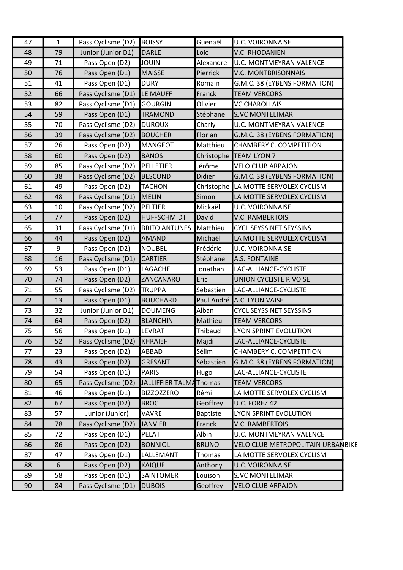| 47 | $\mathbf{1}$ | Pass Cyclisme (D2) | <b>BOISSY</b>          | Guenaël         | <b>U.C. VOIRONNAISE</b>              |  |
|----|--------------|--------------------|------------------------|-----------------|--------------------------------------|--|
| 48 | 79           | Junior (Junior D1) | <b>DARLE</b>           | Loic            | <b>V.C. RHODANIEN</b>                |  |
| 49 | 71           | Pass Open (D2)     | <b>JOUIN</b>           | Alexandre       | <b>U.C. MONTMEYRAN VALENCE</b>       |  |
| 50 | 76           | Pass Open (D1)     | <b>MAISSE</b>          | Pierrick        | <b>V.C. MONTBRISONNAIS</b>           |  |
| 51 | 41           | Pass Open (D1)     | <b>DURY</b>            | Romain          | G.M.C. 38 (EYBENS FORMATION)         |  |
| 52 | 66           | Pass Cyclisme (D1) | LE MAUFF               | Franck          | <b>TEAM VERCORS</b>                  |  |
| 53 | 82           | Pass Cyclisme (D1) | <b>GOURGIN</b>         | Olivier         | <b>VC CHAROLLAIS</b>                 |  |
| 54 | 59           | Pass Open (D1)     | <b>TRAMOND</b>         | Stéphane        | <b>SJVC MONTELIMAR</b>               |  |
| 55 | 70           | Pass Cyclisme (D2) | <b>DUROUX</b>          | Charly          | <b>U.C. MONTMEYRAN VALENCE</b>       |  |
| 56 | 39           | Pass Cyclisme (D2) | <b>BOUCHER</b>         | Florian         | G.M.C. 38 (EYBENS FORMATION)         |  |
| 57 | 26           | Pass Open (D2)     | <b>MANGEOT</b>         | Matthieu        | CHAMBERY C. COMPETITION              |  |
| 58 | 60           | Pass Open (D2)     | <b>BANOS</b>           |                 | Christophe TEAM LYON 7               |  |
| 59 | 85           | Pass Cyclisme (D2) | PELLETIER              | Jérôme          | <b>VELO CLUB ARPAJON</b>             |  |
| 60 | 38           | Pass Cyclisme (D2) | <b>BESCOND</b>         | Didier          | G.M.C. 38 (EYBENS FORMATION)         |  |
| 61 | 49           | Pass Open (D2)     | <b>TACHON</b>          |                 | Christophe LA MOTTE SERVOLEX CYCLISM |  |
| 62 | 48           | Pass Cyclisme (D1) | MELIN                  | Simon           | LA MOTTE SERVOLEX CYCLISM            |  |
| 63 | 10           | Pass Cyclisme (D2) | <b>PELTIER</b>         | Mickaël         | <b>U.C. VOIRONNAISE</b>              |  |
| 64 | 77           | Pass Open (D2)     | <b>HUFFSCHMIDT</b>     | David           | <b>V.C. RAMBERTOIS</b>               |  |
| 65 | 31           | Pass Cyclisme (D1) | <b>BRITO ANTUNES</b>   | Matthieu        | <b>CYCL SEYSSINET SEYSSINS</b>       |  |
| 66 | 44           | Pass Open (D2)     | <b>AMAND</b>           | Michaël         | LA MOTTE SERVOLEX CYCLISM            |  |
| 67 | 9            | Pass Open (D2)     | <b>NOUBEL</b>          | Frédéric        | <b>U.C. VOIRONNAISE</b>              |  |
| 68 | 16           | Pass Cyclisme (D1) | <b>CARTIER</b>         | Stéphane        | <b>A.S. FONTAINE</b>                 |  |
| 69 | 53           | Pass Open (D1)     | <b>LAGACHE</b>         | Jonathan        | LAC-ALLIANCE-CYCLISTE                |  |
| 70 | 74           | Pass Open (D2)     | ZANCANARO              | Eric            | UNION CYCLISTE RIVOISE               |  |
| 71 | 55           | Pass Cyclisme (D2) | <b>TRUPPA</b>          | Sébastien       | LAC-ALLIANCE-CYCLISTE                |  |
| 72 | 13           | Pass Open (D1)     | <b>BOUCHARD</b>        |                 | Paul André A.C. LYON VAISE           |  |
| 73 | 32           | Junior (Junior D1) | <b>DOUMENG</b>         | Alban           | <b>CYCL SEYSSINET SEYSSINS</b>       |  |
| 74 | 64           | Pass Open (D2)     | <b>BLANCHIN</b>        | Mathieu         | <b>TEAM VERCORS</b>                  |  |
| 75 | 56           | Pass Open (D1)     | <b>LEVRAT</b>          | Thibaud         | LYON SPRINT EVOLUTION                |  |
| 76 | 52           | Pass Cyclisme (D2) | KHRAIEF                | Majdi           | LAC-ALLIANCE-CYCLISTE                |  |
| 77 | 23           | Pass Open (D2)     | ABBAD                  | Sélim           | CHAMBERY C. COMPETITION              |  |
| 78 | 43           | Pass Open (D2)     | GRESANT                | Sébastien       | G.M.C. 38 (EYBENS FORMATION)         |  |
| 79 | 54           | Pass Open (D1)     | <b>PARIS</b>           | Hugo            | LAC-ALLIANCE-CYCLISTE                |  |
| 80 | 65           | Pass Cyclisme (D2) | JALLIFFIER TALMAThomas |                 | <b>TEAM VERCORS</b>                  |  |
| 81 | 46           | Pass Open (D1)     | <b>BIZZOZZERO</b>      | Rémi            | LA MOTTE SERVOLEX CYCLISM            |  |
| 82 | 67           | Pass Open (D2)     | <b>BROC</b>            | Geoffrey        | U.C. FOREZ 42                        |  |
| 83 | 57           | Junior (Junior)    | <b>VAVRE</b>           | <b>Baptiste</b> | LYON SPRINT EVOLUTION                |  |
| 84 | 78           | Pass Cyclisme (D2) | <b>JANVIER</b>         | Franck          | <b>V.C. RAMBERTOIS</b>               |  |
| 85 | 72           | Pass Open (D1)     | PELAT                  | Albin           | U.C. MONTMEYRAN VALENCE              |  |
| 86 | 86           | Pass Open (D2)     | <b>BONNIOL</b>         | <b>BRUNO</b>    | VELO CLUB METROPOLITAIN URBANBIKE    |  |
| 87 | 47           | Pass Open (D1)     | LALLEMANT              | Thomas          | LA MOTTE SERVOLEX CYCLISM            |  |
| 88 | 6            | Pass Open (D2)     | <b>KAIQUE</b>          | Anthony         | <b>U.C. VOIRONNAISE</b>              |  |
|    |              |                    |                        |                 |                                      |  |
| 89 | 58           | Pass Open (D1)     | <b>SAINTOMER</b>       | Louison         | <b>SJVC MONTELIMAR</b>               |  |